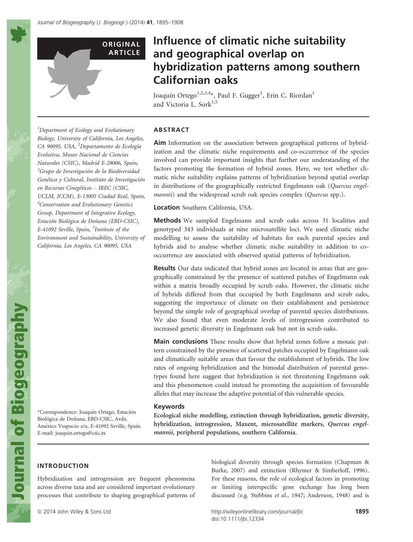

# Influence of climatic niche suitability and geographical overlap on hybridization patterns among southern Californian oaks

Joaquín Ortego<sup>1,2,3,4</sup>\*, Paul F. Gugger<sup>1</sup>, Erin C. Riordan<sup>1</sup> and Victoria L. Sork<sup>1,5</sup>

<sup>1</sup>Department of Ecology and Evolutionary Biology, University of California, Los Angeles, CA 90095, USA, <sup>2</sup>Departamento de Ecología Evolutiva, Museo Nacional de Ciencias Naturales (CSIC), Madrid E-28006, Spain,  $\rm ^3$ Grupo de Investigación de la Biodiversidad Genética y Cultural, Instituto de Investigación en Recursos Cinegeticos – IREC (CSIC, UCLM, JCCM), E-13005 Ciudad Real, Spain, 4 Conservation and Evolutionary Genetics Group, Department of Integrative Ecology, Estación Biológica de Doñana (EBD-CSIC), E-41092 Seville, Spain, <sup>5</sup>Institute of the Environment and Sustainability, University of California, Los Angeles, CA 90095, USA

## ABSTRACT

Aim Information on the association between geographical patterns of hybridization and the climatic niche requirements and co-occurrence of the species involved can provide important insights that further our understanding of the factors promoting the formation of hybrid zones. Here, we test whether climatic niche suitability explains patterns of hybridization beyond spatial overlap in distributions of the geographically restricted Engelmann oak (Quercus engelmannii) and the widespread scrub oak species complex (Quercus spp.).

Location Southern California, USA.

Methods We sampled Engelmann and scrub oaks across 31 localities and genotyped 343 individuals at nine microsatellite loci. We used climatic niche modelling to assess the suitability of habitats for each parental species and hybrids and to analyse whether climatic niche suitability in addition to cooccurrence are associated with observed spatial patterns of hybridization.

Results Our data indicated that hybrid zones are located in areas that are geographically constrained by the presence of scattered patches of Engelmann oak within a matrix broadly occupied by scrub oaks. However, the climatic niche of hybrids differed from that occupied by both Engelmann and scrub oaks, suggesting the importance of climate on their establishment and persistence beyond the simple role of geographical overlap of parental species distributions. We also found that even moderate levels of introgression contributed to increased genetic diversity in Engelmann oak but not in scrub oaks.

Main conclusions These results show that hybrid zones follow a mosaic pattern constrained by the presence of scattered patches occupied by Engelmann oak and climatically suitable areas that favour the establishment of hybrids. The low rates of ongoing hybridization and the bimodal distribution of parental genotypes found here suggest that hybridization is not threatening Engelmann oak and this phenomenon could instead be promoting the acquisition of favourable alleles that may increase the adaptive potential of this vulnerable species.

# Keywords

Ecological niche modelling, extinction through hybridization, genetic diversity, hybridization, introgression, Maxent, microsatellite markers, Quercus engelmannii, peripheral populations, southern California.

INTRODUCTION

E-mail: joaquin.ortego@csic.es

Hybridization and introgression are frequent phenomena across diverse taxa and are considered important evolutionary processes that contribute to shaping geographical patterns of

\*Correspondence: Joaquın Ortego, Estacion Biológica de Doñana, EBD-CSIC, Avda. Americo Vespucio s/n, E-41092 Seville, Spain.

> biological diversity through species formation (Chapman & Burke, 2007) and extinction (Rhymer & Simberloff, 1996). For these reasons, the role of ecological factors in promoting or limiting interspecific gene exchange has long been discussed (e.g. Stebbins et al., 1947; Anderson, 1948) and is

ª 2014 John Wiley & Sons Ltd http://wileyonlinelibrary.com/journal/jbi 1895 doi:10.1111/jbi.12334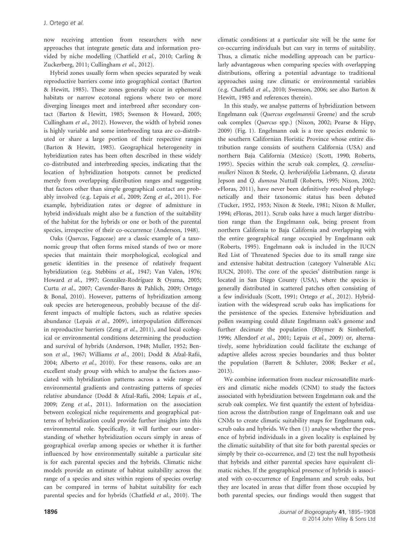now receiving attention from researchers with new approaches that integrate genetic data and information provided by niche modelling (Chatfield et al., 2010; Carling & Zuckerberg, 2011; Cullingham et al., 2012).

Hybrid zones usually form when species separated by weak reproductive barriers come into geographical contact (Barton & Hewitt, 1985). These zones generally occur in ephemeral habitats or narrow ecotonal regions where two or more diverging lineages meet and interbreed after secondary contact (Barton & Hewitt, 1985; Swenson & Howard, 2005; Cullingham et al., 2012). However, the width of hybrid zones is highly variable and some interbreeding taxa are co-distributed or share a large portion of their respective ranges (Barton & Hewitt, 1985). Geographical heterogeneity in hybridization rates has been often described in these widely co-distributed and interbreeding species, indicating that the location of hybridization hotspots cannot be predicted merely from overlapping distribution ranges and suggesting that factors other than simple geographical contact are probably involved (e.g. Lepais et al., 2009; Zeng et al., 2011). For example, hybridization rates or degree of admixture in hybrid individuals might also be a function of the suitability of the habitat for the hybrids or one or both of the parental species, irrespective of their co-occurrence (Anderson, 1948).

Oaks (Quercus, Fagaceae) are a classic example of a taxonomic group that often forms mixed stands of two or more species that maintain their morphological, ecological and genetic identities in the presence of relatively frequent hybridization (e.g. Stebbins et al., 1947; Van Valen, 1976; Howard et al., 1997; González-Rodríguez & Oyama, 2005; Curtu et al., 2007; Cavender-Bares & Pahlich, 2009; Ortego & Bonal, 2010). However, patterns of hybridization among oak species are heterogeneous, probably because of the different impacts of multiple factors, such as relative species abundance (Lepais et al., 2009), interpopulation differences in reproductive barriers (Zeng et al., 2011), and local ecological or environmental conditions determining the production and survival of hybrids (Anderson, 1948; Muller, 1952; Benson et al., 1967; Williams et al., 2001; Dodd & Afzal-Rafii, 2004; Alberto et al., 2010). For these reasons, oaks are an excellent study group with which to analyse the factors associated with hybridization patterns across a wide range of environmental gradients and contrasting patterns of species relative abundance (Dodd & Afzal-Rafii, 2004; Lepais et al., 2009; Zeng et al., 2011). Information on the association between ecological niche requirements and geographical patterns of hybridization could provide further insights into this environmental role. Specifically, it will further our understanding of whether hybridization occurs simply in areas of geographical overlap among species or whether it is further influenced by how environmentally suitable a particular site is for each parental species and the hybrids. Climatic niche models provide an estimate of habitat suitability across the range of a species and sites within regions of species overlap can be compared in terms of habitat suitability for each parental species and for hybrids (Chatfield et al., 2010). The climatic conditions at a particular site will be the same for co-occurring individuals but can vary in terms of suitability. Thus, a climatic niche modelling approach can be particularly advantageous when comparing species with overlapping distributions, offering a potential advantage to traditional approaches using raw climatic or environmental variables (e.g. Chatfield et al., 2010; Swenson, 2006; see also Barton & Hewitt, 1985 and references therein).

In this study, we analyse patterns of hybridization between Engelmann oak (Quercus engelmannii Greene) and the scrub oak complex (Quercus spp.) (Nixon, 2002; Pearse & Hipp, 2009) (Fig. 1). Engelmann oak is a tree species endemic to the southern Californian Floristic Province whose entire distribution range consists of southern California (USA) and northern Baja California (Mexico) (Scott, 1990; Roberts, 1995). Species within the scrub oak complex, Q. corneliusmulleri Nixon & Steele, Q. berberidifolia Liebmann, Q. durata Jepson and Q. dumosa Nuttall (Roberts, 1995; Nixon, 2002; eFloras, 2011), have never been definitively resolved phylogenetically and their taxonomic status has been debated (Tucker, 1952, 1953; Nixon & Steele, 1981; Nixon & Muller, 1994; eFloras, 2011). Scrub oaks have a much larger distribution range than the Engelmann oak, being present from northern California to Baja California and overlapping with the entire geographical range occupied by Engelmann oak (Roberts, 1995). Engelmann oak is included in the IUCN Red List of Threatened Species due to its small range size and extensive habitat destruction (category Vulnerable A1c; IUCN, 2010). The core of the species' distribution range is located in San Diego County (USA), where the species is generally distributed in scattered patches often consisting of a few individuals (Scott, 1991; Ortego et al., 2012). Hybridization with the widespread scrub oaks has implications for the persistence of the species. Extensive hybridization and pollen swamping could dilute Engelmann oak's genome and further decimate the population (Rhymer & Simberloff, 1996; Allendorf et al., 2001; Lepais et al., 2009) or, alternatively, some hybridization could facilitate the exchange of adaptive alleles across species boundaries and thus bolster the population (Barrett & Schluter, 2008; Becker et al., 2013).

We combine information from nuclear microsatellite markers and climatic niche models (CNM) to study the factors associated with hybridization between Engelmann oak and the scrub oak complex. We first quantify the extent of hybridization across the distribution range of Engelmann oak and use CNMs to create climatic suitability maps for Engelmann oak, scrub oaks and hybrids. We then (1) analyse whether the presence of hybrid individuals in a given locality is explained by the climatic suitability of that site for both parental species or simply by their co-occurrence, and (2) test the null hypothesis that hybrids and either parental species have equivalent climatic niches. If the geographical presence of hybrids is associated with co-occurrence of Engelmann and scrub oaks, but they are located in areas that differ from those occupied by both parental species, our findings would then suggest that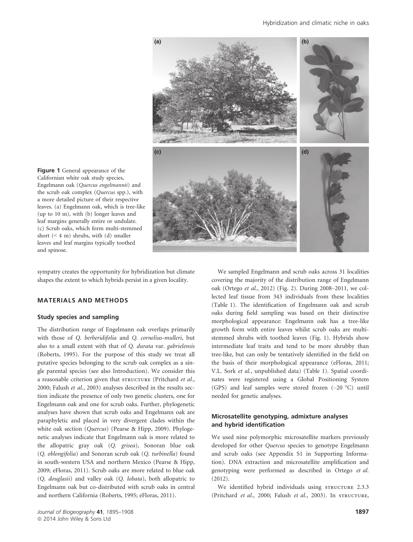

Figure 1 General appearance of the Californian white oak study species, Engelmann oak (Quercus engelmannii) and the scrub oak complex (Quercus spp.), with a more detailed picture of their respective leaves. (a) Engelmann oak, which is tree-like (up to 10 m), with (b) longer leaves and leaf margins generally entire or undulate. (c) Scrub oaks, which form multi-stemmed short (< 4 m) shrubs, with (d) smaller leaves and leaf margins typically toothed and spinose.

sympatry creates the opportunity for hybridization but climate shapes the extent to which hybrids persist in a given locality.

# MATERIALS AND METHODS

#### Study species and sampling

The distribution range of Engelmann oak overlaps primarily with those of Q. berberidifolia and Q. cornelius-mulleri, but also to a small extent with that of Q. durata var. gabrielensis (Roberts, 1995). For the purpose of this study we treat all putative species belonging to the scrub oak complex as a single parental species (see also Introduction). We consider this a reasonable criterion given that STRUCTURE (Pritchard et al., 2000; Falush et al., 2003) analyses described in the results section indicate the presence of only two genetic clusters, one for Engelmann oak and one for scrub oaks. Further, phylogenetic analyses have shown that scrub oaks and Engelmann oak are paraphyletic and placed in very divergent clades within the white oak section (Quercus) (Pearse & Hipp, 2009). Phylogenetic analyses indicate that Engelmann oak is more related to the allopatric gray oak (Q. grisea), Sonoran blue oak (Q. oblongifolia) and Sonoran scrub oak (Q. turbinella) found in south-western USA and northern Mexico (Pearse & Hipp, 2009; eFloras, 2011). Scrub oaks are more related to blue oak (Q. douglasii) and valley oak (Q. lobata), both allopatric to Engelmann oak but co-distributed with scrub oaks in central and northern California (Roberts, 1995; eFloras, 2011).

We sampled Engelmann and scrub oaks across 31 localities covering the majority of the distribution range of Engelmann oak (Ortego et al., 2012) (Fig. 2). During 2008–2011, we collected leaf tissue from 343 individuals from these localities (Table 1). The identification of Engelmann oak and scrub oaks during field sampling was based on their distinctive morphological appearance: Engelmann oak has a tree-like growth form with entire leaves whilst scrub oaks are multistemmed shrubs with toothed leaves (Fig. 1). Hybrids show intermediate leaf traits and tend to be more shrubby than tree-like, but can only be tentatively identified in the field on the basis of their morphological appearance (eFloras, 2011; V.L. Sork et al., unpublished data) (Table 1). Spatial coordinates were registered using a Global Positioning System (GPS) and leaf samples were stored frozen (–20 °C) until needed for genetic analyses.

# Microsatellite genotyping, admixture analyses and hybrid identification

We used nine polymorphic microsatellite markers previously developed for other Quercus species to genotype Engelmann and scrub oaks (see Appendix S1 in Supporting Information). DNA extraction and microsatellite amplification and genotyping were performed as described in Ortego et al. (2012).

We identified hybrid individuals using STRUCTURE 2.3.3 (Pritchard et al., 2000; Falush et al., 2003). In STRUCTURE,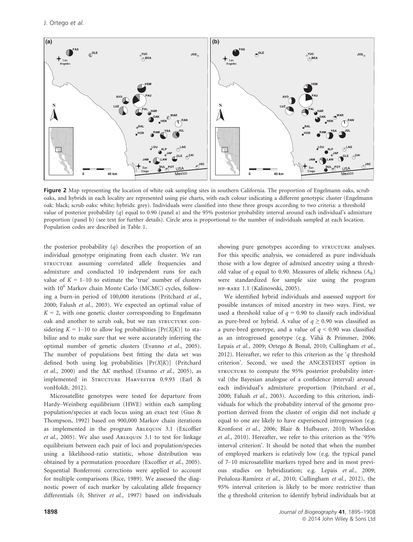

Figure 2 Map representing the location of white oak sampling sites in southern California. The proportion of Engelmann oaks, scrub oaks, and hybrids in each locality are represented using pie charts, with each colour indicating a different genotypic cluster (Engelmann oak: black; scrub oaks: white; hybrids: grey). Individuals were classified into these three groups according to two criteria: a threshold value of posterior probability (q) equal to 0.90 (panel a) and the 95% posterior probability interval around each individual's admixture proportion (panel b) (see text for further details). Circle area is proportional to the number of individuals sampled at each location. Population codes are described in Table 1.

the posterior probability (q) describes the proportion of an individual genotype originating from each cluster. We ran structure assuming correlated allele frequencies and admixture and conducted 10 independent runs for each value of  $K = 1$ –10 to estimate the 'true' number of clusters with  $10^6$  Markov chain Monte Carlo (MCMC) cycles, following a burn-in period of 100,000 iterations (Pritchard et al., 2000; Falush et al., 2003). We expected an optimal value of  $K = 2$ , with one genetic cluster corresponding to Engelmann oak and another to scrub oak, but we ran STRUCTURE considering  $K = 1-10$  to allow log probabilities  $[Pr(X|K)]$  to stabilize and to make sure that we were accurately inferring the optimal number of genetic clusters (Evanno et al., 2005). The number of populations best fitting the data set was defined both using log probabilities  $[Pr(X|K)]$  (Pritchard et al., 2000) and the  $\Delta K$  method (Evanno et al., 2005), as implemented in STRUCTURE HARVESTER 0.9.93 (Earl & vonHoldt, 2012).

Microsatellite genotypes were tested for departure from Hardy–Weinberg equilibrium (HWE) within each sampling population/species at each locus using an exact test (Guo & Thompson, 1992) based on 900,000 Markov chain iterations as implemented in the program Arlequin 3.1 (Excoffier et al., 2005). We also used ARLEQUIN 3.1 to test for linkage equilibrium between each pair of loci and population/species using a likelihood-ratio statistic, whose distribution was obtained by a permutation procedure (Excoffier et al., 2005). Sequential Bonferroni corrections were applied to account for multiple comparisons (Rice, 1989). We assessed the diagnostic power of each marker by calculating allele frequency differentials  $(\delta;$  Shriver et al., 1997) based on individuals showing pure genotypes according to STRUCTURE analyses. For this specific analysis, we considered as pure individuals those with a low degree of admixed ancestry using a threshold value of q equal to 0.90. Measures of allelic richness  $(A_R)$ were standardized for sample size using the program hp-rare 1.1 (Kalinowski, 2005).

We identified hybrid individuals and assessed support for possible instances of mixed ancestry in two ways. First, we used a threshold value of  $q = 0.90$  to classify each individual as pure-bred or hybrid. A value of  $q \ge 0.90$  was classified as a pure-bred genotype, and a value of  $q < 0.90$  was classified as an introgressed genotype (e.g. Vähä & Primmer, 2006; Lepais et al., 2009; Ortego & Bonal, 2010; Cullingham et al., 2012). Hereafter, we refer to this criterion as the 'q threshold criterion'. Second, we used the ANCESTDIST option in sTRUCTURE to compute the 95% posterior probability interval (the Bayesian analogue of a confidence interval) around each individual's admixture proportion (Pritchard et al., 2000; Falush et al., 2003). According to this criterion, individuals for which the probability interval of the genome proportion derived from the cluster of origin did not include q equal to one are likely to have experienced introgression (e.g. Kronforst et al., 2006; Blair & Hufbauer, 2010; Wheeldon et al., 2010). Hereafter, we refer to this criterion as the '95% interval criterion'. It should be noted that when the number of employed markers is relatively low (e.g. the typical panel of 7–10 microsatellite markers typed here and in most previous studies on hybridization; e.g. Lepais et al., 2009; Peñaloza-Ramírez et al., 2010; Cullingham et al., 2012), the 95% interval criterion is likely to be more restrictive than the q threshold criterion to identify hybrid individuals but at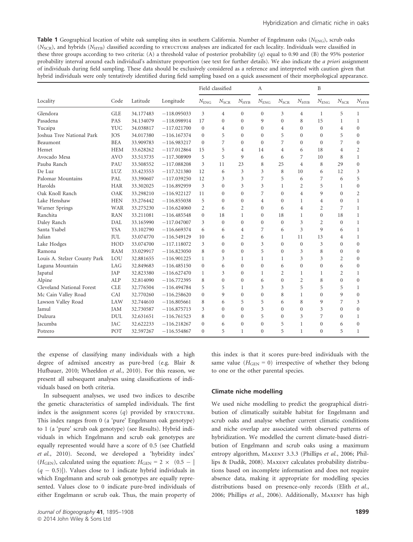**Table 1** Geographical location of white oak sampling sites in southern California. Number of Engelmann oaks ( $N_{\text{FNC}}$ ), scrub oaks  $(N_{\text{SCR}})$ , and hybrids  $(N_{\text{HYB}})$  classified according to structure analyses are indicated for each locality. Individuals were classified in these three groups according to two criteria: (A) a threshold value of posterior probability (q) equal to 0.90 and (B) the 95% posterior probability interval around each individual's admixture proportion (see text for further details). We also indicate the a priori assignment of individuals during field sampling. These data should be exclusively considered as a reference and interpreted with caution given that hybrid individuals were only tentatively identified during field sampling based on a quick assessment of their morphological appearance.

|                              | Code       | Latitude  | Longitude     | Field classified |                  |                  | А              |                  |                | B              |                  |                |
|------------------------------|------------|-----------|---------------|------------------|------------------|------------------|----------------|------------------|----------------|----------------|------------------|----------------|
| Locality                     |            |           |               | $N_{ENG}$        | $N_{\text{SCR}}$ | $N_{\rm HYB}$    | $N_{ENG}$      | $N_{\text{SCR}}$ | $N_{\rm HYB}$  | $N_{ENG}$      | $N_{\text{SCR}}$ | $N_{\rm HYB}$  |
| Glendora                     | <b>GLE</b> | 34.177483 | $-118,095033$ | 3                | $\overline{4}$   | $\mathbf{0}$     | $\mathbf{0}$   | 3                | $\overline{4}$ | $\mathbf{1}$   | 5                | $\mathbf{1}$   |
| Pasadena                     | PAS        | 34.134079 | $-118.098914$ | 17               | $\theta$         | $\mathbf{0}$     | 9              | $\theta$         | 8              | 15             | 1                | 1              |
| Yucaipa                      | <b>YUC</b> | 34.038817 | $-117.021700$ | $\Omega$         | $\overline{4}$   | $\boldsymbol{0}$ | $\mathbf{0}$   | $\overline{4}$   | $\theta$       | $\mathbf{0}$   | $\overline{4}$   | $\mathbf{0}$   |
| Joshua Tree National Park    | <b>JOS</b> | 34.017380 | $-116.167374$ | $\Omega$         | 5                | $\theta$         | $\Omega$       | 5                | $\Omega$       | $\Omega$       | 5                | $\mathbf{0}$   |
| Beaumont                     | <b>BEA</b> | 33.909783 | $-116.983217$ | $\Omega$         | 7                | $\mathbf{0}$     | $\Omega$       | 7                | $\Omega$       | $\mathbf{0}$   | 7                | $\mathbf{0}$   |
| Hemet                        | <b>HEM</b> | 33.628262 | $-117.012864$ | 15               | 5                | $\overline{4}$   | 14             | $\overline{4}$   | 6              | 18             | $\overline{4}$   | $\overline{c}$ |
| Avocado Mesa                 | <b>AVO</b> | 33.513735 | $-117,308909$ | 5                | 5                | 9                | 6              | 6                | 7              | 10             | 8                | 1              |
| Pauba Ranch                  | PAU        | 33.508552 | $-117.088208$ | 3                | 11               | 23               | 8              | 25               | $\overline{4}$ | 8              | 29               | $\overline{0}$ |
| De Luz                       | LUZ        | 33.423553 | $-117.321380$ | 12               | 6                | 3                | 3              | 8                | 10             | 6              | 12               | 3              |
| Palomar Mountains            | PAL        | 33.390607 | $-117.039250$ | 12               | 3                | 3                | 7              | 5                | 6              | 7              | 6                | 5              |
| Harolds                      | <b>HAR</b> | 33.302025 | $-116.892959$ | 3                | $\Omega$         | 3                | 3              | $\mathbf{1}$     | $\overline{2}$ | 5              | 1                | $\mathbf{0}$   |
| Oak Knoll Ranch              | OAK        | 33.298210 | $-116.922127$ | 11               | $\mathbf{0}$     | $\mathbf{0}$     | 7              | $\Omega$         | $\overline{4}$ | 9              | $\mathbf{0}$     | $\overline{2}$ |
| Lake Henshaw                 | <b>HEN</b> | 33.276442 | $-116.855038$ | 5                | $\Omega$         | $\boldsymbol{0}$ | $\overline{4}$ | $\Omega$         | 1              | $\overline{4}$ | $\mathbf{0}$     | $\mathbf{1}$   |
| Warner Springs               | <b>WAR</b> | 33.275230 | $-116.624060$ | 2                | 6                | $\overline{2}$   | $\Omega$       | 6                | $\overline{4}$ | $\overline{c}$ | 7                | $\mathbf{1}$   |
| Ranchita                     | <b>RAN</b> | 33.211081 | $-116.485548$ | $\Omega$         | 18               | $\mathbf{1}$     | $\mathbf{0}$   | 18               | $\mathbf{1}$   | $\mathbf{0}$   | 18               | $\mathbf{1}$   |
| Daley Ranch                  | DAL        | 33.165990 | $-117.047007$ | 3                | $\Omega$         | $\mathbf{0}$     | $\mathbf{0}$   | $\Omega$         | 3              | $\overline{c}$ | $\mathbf{0}$     | 1              |
| Santa Ysabel                 | <b>YSA</b> | 33.102790 | $-116,669374$ | 6                | 6                | 4                | 7              | 6                | 3              | 9              | 6                | 1              |
| Julian                       | <b>JUL</b> | 33.074770 | $-116.549129$ | 10               | 6                | $\overline{2}$   | 6              | 1                | 11             | 13             | $\overline{4}$   | $\mathbf{1}$   |
| Lake Hodges                  | HOD        | 33.074700 | $-117.118072$ | 3                | $\Omega$         | $\mathbf{0}$     | 3              | $\Omega$         | $\Omega$       | 3              | $\Omega$         | $\mathbf{0}$   |
| Ramona                       | <b>RAM</b> | 33.029917 | $-116.823050$ | 8                | $\theta$         | $\mathbf{0}$     | 5              | $\Omega$         | 3              | 8              | $\mathbf{0}$     | $\mathbf{0}$   |
| Louis A. Stelzer County Park | LOU        | 32.881655 | $-116.901225$ | $\mathbf{1}$     | 3                | $\mathbf{1}$     | $\mathbf{1}$   | $\mathbf{1}$     | 3              | 3              | $\overline{2}$   | $\mathbf{0}$   |
| Laguna Mountain              | LAG        | 32.849683 | $-116.485150$ | $\mathbf{0}$     | 6                | $\boldsymbol{0}$ | $\mathbf{0}$   | 6                | $\theta$       | $\mathbf{0}$   | 6                | $\mathbf{0}$   |
| Japatul                      | JAP        | 32.823380 | $-116.627470$ | 1                | 3                | $\mathbf{0}$     | 1              | $\overline{2}$   | 1              | 1              | $\overline{2}$   | 1              |
| Alpine                       | ALP        | 32.814090 | $-116.772395$ | 8                | $\Omega$         | $\mathbf{0}$     | 6              | $\Omega$         | $\overline{2}$ | 8              | $\mathbf{0}$     | $\mathbf{0}$   |
| Cleveland National Forest    | <b>CLE</b> | 32.776504 | $-116.494784$ | 5                | 5                | 1                | 3              | 3                | 5              | 5              | 5                | 1              |
| Mc Cain Valley Road          | CAI        | 32.770260 | $-116.258620$ | $\Omega$         | 9                | $\mathbf{0}$     | $\mathbf{0}$   | 8                | 1              | $\Omega$       | 9                | $\overline{0}$ |
| Lawson Valley Road           | LAW        | 32.744610 | $-116.805661$ | 8                | 6                | 5                | 5              | 6                | 8              | 9              | 7                | 3              |
| Jamul                        | <b>JAM</b> | 32.730587 | $-116.875713$ | 3                | $\theta$         | $\mathbf{0}$     | 3              | $\Omega$         | $\theta$       | 3              | $\theta$         | $\mathbf{0}$   |
| Dulzura                      | <b>DUL</b> | 32.631651 | $-116.761523$ | 8                | $\mathbf{0}$     | $\mathbf{0}$     | 5              | $\Omega$         | 3              | 7              | $\mathbf{0}$     | 1              |
| Jacumba                      | <b>JAC</b> | 32.622233 | $-116.218267$ | $\Omega$         | 6                | $\mathbf{0}$     | $\theta$       | 5                | $\mathbf{1}$   | $\mathbf{0}$   | 6                | $\mathbf{0}$   |
| Potrero                      | POT        | 32.597267 | $-116.554867$ | $\Omega$         | 5                | 1                | $\theta$       | 5                | 1              | $\Omega$       | 5                | 1              |

the expense of classifying many individuals with a high degree of admixed ancestry as pure-bred (e.g. Blair & Hufbauer, 2010; Wheeldon et al., 2010). For this reason, we present all subsequent analyses using classifications of individuals based on both criteria.

In subsequent analyses, we used two indices to describe the genetic characteristics of sampled individuals. The first index is the assignment scores  $(q)$  provided by STRUCTURE. This index ranges from 0 (a 'pure' Engelmann oak genotype) to 1 (a 'pure' scrub oak genotype) (see Results). Hybrid individuals in which Engelmann and scrub oak genotypes are equally represented would have a score of 0.5 (see Chatfield et al., 2010). Second, we developed a 'hybridity index'  $(H_{\text{GEN}})$ , calculated using the equation:  $H_{\text{GEN}} = 2 \times (0.5 - 1)$  $(q - 0.5)$ ). Values close to 1 indicate hybrid individuals in which Engelmann and scrub oak genotypes are equally represented. Values close to 0 indicate pure-bred individuals of either Engelmann or scrub oak. Thus, the main property of this index is that it scores pure-bred individuals with the same value  $(H_{\text{GEN}} = 0)$  irrespective of whether they belong to one or the other parental species.

### Climate niche modelling

We used niche modelling to predict the geographical distribution of climatically suitable habitat for Engelmann and scrub oaks and analyse whether current climatic conditions and niche overlap are associated with observed patterns of hybridization. We modelled the current climate-based distribution of Engelmann and scrub oaks using a maximum entropy algorithm, MAXENT 3.3.3 (Phillips et al., 2006; Phillips & Dudik, 2008). MAXENT calculates probability distributions based on incomplete information and does not require absence data, making it appropriate for modelling species distributions based on presence-only records (Elith et al., 2006; Phillips et al., 2006). Additionally, MAXENT has high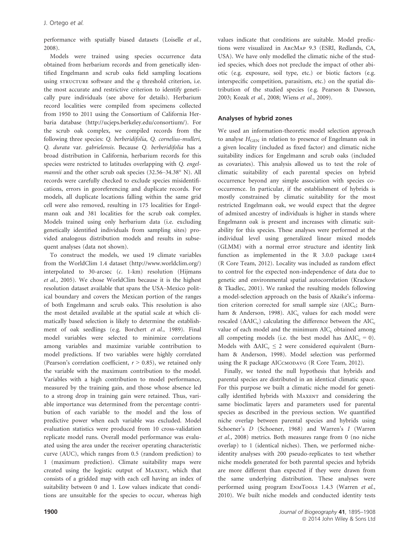performance with spatially biased datasets (Loiselle et al., 2008).

Models were trained using species occurrence data obtained from herbarium records and from genetically identified Engelmann and scrub oaks field sampling locations using structure software and the  $q$  threshold criterion, i.e. the most accurate and restrictive criterion to identify genetically pure individuals (see above for details). Herbarium record localities were compiled from specimens collected from 1950 to 2011 using the Consortium of California Herbaria database (http://ucjeps.berkeley.edu/consortium/). For the scrub oak complex, we compiled records from the following three species: Q. berberidifolia, Q. cornelius-mulleri, Q. durata var. gabrielensis. Because Q. berberidifolia has a broad distribution in California, herbarium records for this species were restricted to latitudes overlapping with Q. engelmannii and the other scrub oak species (32.56–34.38° N). All records were carefully checked to exclude species misidentifications, errors in georeferencing and duplicate records. For models, all duplicate locations falling within the same grid cell were also removed, resulting in 175 localities for Engelmann oak and 381 localities for the scrub oak complex. Models trained using only herbarium data (i.e. excluding genetically identified individuals from sampling sites) provided analogous distribution models and results in subsequent analyses (data not shown).

To construct the models, we used 19 climate variables from the WorldClim 1.4 dataset (http://www.worldclim.org/) interpolated to 30-arcsec (c. 1-km) resolution (Hijmans et al., 2005). We chose WorldClim because it is the highest resolution dataset available that spans the USA–Mexico political boundary and covers the Mexican portion of the ranges of both Engelmann and scrub oaks. This resolution is also the most detailed available at the spatial scale at which climatically based selection is likely to determine the establishment of oak seedlings (e.g. Borchert et al., 1989). Final model variables were selected to minimize correlations among variables and maximize variable contribution to model predictions. If two variables were highly correlated (Pearson's correlation coefficient,  $r > 0.85$ ), we retained only the variable with the maximum contribution to the model. Variables with a high contribution to model performance, measured by the training gain, and those whose absence led to a strong drop in training gain were retained. Thus, variable importance was determined from the percentage contribution of each variable to the model and the loss of predictive power when each variable was excluded. Model evaluation statistics were produced from 10 cross-validation replicate model runs. Overall model performance was evaluated using the area under the receiver operating characteristic curve (AUC), which ranges from 0.5 (random prediction) to 1 (maximum prediction). Climate suitability maps were created using the logistic output of MAXENT, which that consists of a gridded map with each cell having an index of suitability between 0 and 1. Low values indicate that conditions are unsuitable for the species to occur, whereas high values indicate that conditions are suitable. Model predictions were visualized in ArcMap 9.3 (ESRI, Redlands, CA, USA). We have only modelled the climatic niche of the studied species, which does not preclude the impact of other abiotic (e.g. exposure, soil type, etc.) or biotic factors (e.g. interspecific competition, parasitism, etc.) on the spatial distribution of the studied species (e.g. Pearson & Dawson, 2003; Kozak et al., 2008; Wiens et al., 2009).

# Analyses of hybrid zones

We used an information-theoretic model selection approach to analyse  $H_{\text{GEN}}$  in relation to presence of Engelmann oak in a given locality (included as fixed factor) and climatic niche suitability indices for Engelmann and scrub oaks (included as covariates). This analysis allowed us to test the role of climatic suitability of each parental species on hybrid occurrence beyond any simple association with species cooccurrence. In particular, if the establishment of hybrids is mostly constrained by climatic suitability for the most restricted Engelmann oak, we would expect that the degree of admixed ancestry of individuals is higher in stands where Engelmann oak is present and increases with climatic suitability for this species. These analyses were performed at the individual level using generalized linear mixed models (GLMM) with a normal error structure and identity link function as implemented in the R  $3.0.0$  package  $LME4$ (R Core Team, 2012). Locality was included as random effect to control for the expected non-independence of data due to genetic and environmental spatial autocorrelation (Krackow & Tkadlec, 2001). We ranked the resulting models following a model-selection approach on the basis of Akaike's information criterion corrected for small sample size  $(AIC_c;$  Burnham & Anderson, 1998).  $AIC_c$  values for each model were rescaled ( $\Delta AIC_c$ ) calculating the difference between the  $AIC_c$ value of each model and the minimum  $AIC_c$  obtained among all competing models (i.e. the best model has  $\Delta AIC_c = 0$ ). Models with  $\Delta AIC_c \leq 2$  were considered equivalent (Burnham & Anderson, 1998). Model selection was performed using the R package AICCMODAVG (R Core Team, 2012).

Finally, we tested the null hypothesis that hybrids and parental species are distributed in an identical climatic space. For this purpose we built a climatic niche model for genetically identified hybrids with MAXENT and considering the same bioclimatic layers and parameters used for parental species as described in the previous section. We quantified niche overlap between parental species and hybrids using Schoener's D (Schoener, 1968) and Warren's I (Warren et al., 2008) metrics. Both measures range from 0 (no niche overlap) to 1 (identical niches). Then, we performed nicheidentity analyses with 200 pseudo-replicates to test whether niche models generated for both parental species and hybrids are more different than expected if they were drawn from the same underlying distribution. These analyses were performed using program ENMTooLs 1.4.3 (Warren et al., 2010). We built niche models and conducted identity tests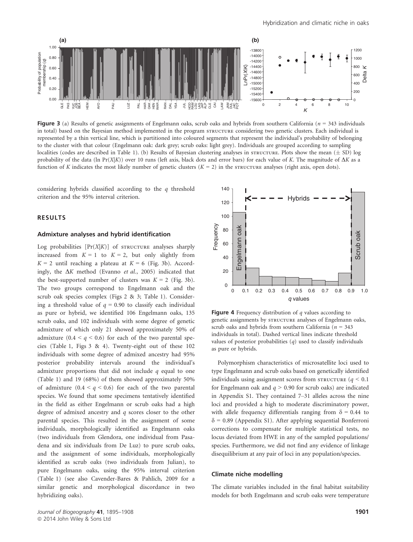

**Figure 3** (a) Results of genetic assignments of Engelmann oaks, scrub oaks and hybrids from southern California ( $n = 343$  individuals in total) based on the Bayesian method implemented in the program structure considering two genetic clusters. Each individual is represented by a thin vertical line, which is partitioned into coloured segments that represent the individual's probability of belonging to the cluster with that colour (Engelmann oak: dark grey; scrub oaks: light grey). Individuals are grouped according to sampling localities (codes are described in Table 1). (b) Results of Bayesian clustering analyses in structure. Plots show the mean  $(\pm$  SD) log probability of the data (ln Pr(X|K)) over 10 runs (left axis, black dots and error bars) for each value of K. The magnitude of  $\Delta K$  as a function of K indicates the most likely number of genetic clusters  $(K = 2)$  in the structure analyses (right axis, open dots).

considering hybrids classified according to the q threshold criterion and the 95% interval criterion.

## RESULTS

#### Admixture analyses and hybrid identification

Log probabilities  $[Pr(X|K)]$  of structure analyses sharply increased from  $K = 1$  to  $K = 2$ , but only slightly from  $K = 2$  until reaching a plateau at  $K = 6$  (Fig. 3b). Accordingly, the  $\Delta K$  method (Evanno et al., 2005) indicated that the best-supported number of clusters was  $K = 2$  (Fig. 3b). The two groups correspond to Engelmann oak and the scrub oak species complex (Figs 2 & 3; Table 1). Considering a threshold value of  $q = 0.90$  to classify each individual as pure or hybrid, we identified 106 Engelmann oaks, 135 scrub oaks, and 102 individuals with some degree of genetic admixture of which only 21 showed approximately 50% of admixture  $(0.4 \leq q \leq 0.6)$  for each of the two parental species (Table 1, Figs 3 & 4). Twenty-eight out of these 102 individuals with some degree of admixed ancestry had 95% posterior probability intervals around the individual's admixture proportions that did not include  $q$  equal to one (Table 1) and 19 (68%) of them showed approximately 50% of admixture  $(0.4 \leq q \leq 0.6)$  for each of the two parental species. We found that some specimens tentatively identified in the field as either Engelmann or scrub oaks had a high degree of admixed ancestry and q scores closer to the other parental species. This resulted in the assignment of some individuals, morphologically identified as Engelmann oaks (two individuals from Glendora, one individual from Pasadena and six individuals from De Luz) to pure scrub oaks, and the assignment of some individuals, morphologically identified as scrub oaks (two individuals from Julian), to pure Engelmann oaks, using the 95% interval criterion (Table 1) (see also Cavender-Bares & Pahlich, 2009 for a similar genetic and morphological discordance in two hybridizing oaks).



**Figure 4** Frequency distribution of  $q$  values according to genetic assignments by  $sr\nu$ cru $\kappa$  analyses of Engelmann oaks, scrub oaks and hybrids from southern California ( $n = 343$ ) individuals in total). Dashed vertical lines indicate threshold values of posterior probabilities  $(q)$  used to classify individuals as pure or hybrids.

Polymorphism characteristics of microsatellite loci used to type Engelmann and scrub oaks based on genetically identified individuals using assignment scores from  $structure$  ( $q < 0.1$ ) for Engelmann oak and  $q > 0.90$  for scrub oaks) are indicated in Appendix S1. They contained 7–31 alleles across the nine loci and provided a high to moderate discriminatory power, with allele frequency differentials ranging from  $\delta = 0.44$  to  $\delta$  = 0.89 (Appendix S1). After applying sequential Bonferroni corrections to compensate for multiple statistical tests, no locus deviated from HWE in any of the sampled populations/ species. Furthermore, we did not find any evidence of linkage disequilibrium at any pair of loci in any population/species.

#### Climate niche modelling

The climate variables included in the final habitat suitability models for both Engelmann and scrub oaks were temperature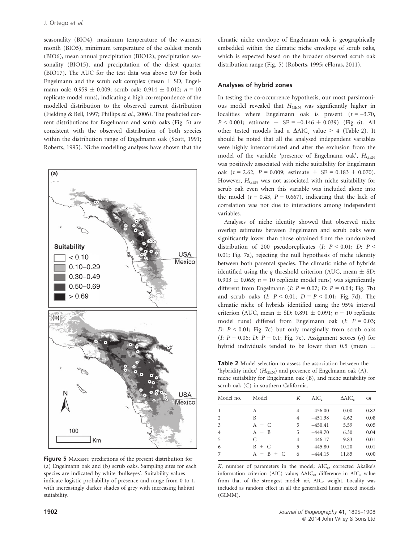seasonality (BIO4), maximum temperature of the warmest month (BIO5), minimum temperature of the coldest month (BIO6), mean annual precipitation (BIO12), precipitation seasonality (BIO15), and precipitation of the driest quarter (BIO17). The AUC for the test data was above 0.9 for both Engelmann and the scrub oak complex (mean  $\pm$  SD, Engelmann oak: 0.959  $\pm$  0.009; scrub oak: 0.914  $\pm$  0.012;  $n = 10$ replicate model runs), indicating a high correspondence of the modelled distribution to the observed current distribution (Fielding & Bell, 1997; Phillips et al., 2006). The predicted current distributions for Engelmann and scrub oaks (Fig. 5) are consistent with the observed distribution of both species within the distribution range of Engelmann oak (Scott, 1991; Roberts, 1995). Niche modelling analyses have shown that the



Figure 5 MAXENT predictions of the present distribution for (a) Engelmann oak and (b) scrub oaks. Sampling sites for each species are indicated by white 'bullseyes'. Suitability values indicate logistic probability of presence and range from 0 to 1, with increasingly darker shades of grey with increasing habitat suitability.

## Analyses of hybrid zones

In testing the co-occurrence hypothesis, our most parsimonious model revealed that  $H_{\text{GEN}}$  was significantly higher in localities where Engelmann oak is present  $(t = -3.70,$  $P < 0.001$ ; estimate  $\pm$  SE = -0.146  $\pm$  0.039) (Fig. 6). All other tested models had a  $\Delta AIC_c$  value > 4 (Table 2). It should be noted that all the analysed independent variables were highly intercorrelated and after the exclusion from the model of the variable 'presence of Engelmann oak',  $H_{\text{GEN}}$ was positively associated with niche suitability for Engelmann oak ( $t = 2.62$ ,  $P = 0.009$ ; estimate  $\pm$  SE = 0.183  $\pm$  0.070). However,  $H_{\text{GEN}}$  was not associated with niche suitability for scrub oak even when this variable was included alone into the model ( $t = 0.43$ ,  $P = 0.667$ ), indicating that the lack of correlation was not due to interactions among independent variables.

Analyses of niche identity showed that observed niche overlap estimates between Engelmann and scrub oaks were significantly lower than those obtained from the randomized distribution of 200 pseudoreplicates (*I*:  $P < 0.01$ ; *D*:  $P <$ 0.01; Fig. 7a), rejecting the null hypothesis of niche identity between both parental species. The climatic niche of hybrids identified using the q threshold criterion (AUC, mean  $\pm$  SD:  $0.903 \pm 0.065$ ;  $n = 10$  replicate model runs) was significantly different from Engelmann (*I*:  $P = 0.07$ ; *D*:  $P = 0.04$ ; Fig. 7b) and scrub oaks (*I*:  $P < 0.01$ ;  $D = P < 0.01$ ; Fig. 7d). The climatic niche of hybrids identified using the 95% interval criterion (AUC, mean  $\pm$  SD: 0.891  $\pm$  0.091; n = 10 replicate model runs) differed from Engelmann oak  $(I: P = 0.03;$ D:  $P < 0.01$ ; Fig. 7c) but only marginally from scrub oaks (I:  $P = 0.06$ ; D:  $P = 0.1$ ; Fig. 7e). Assignment scores (q) for hybrid individuals tended to be lower than 0.5 (mean  $\pm$ 

Table 2 Model selection to assess the association between the 'hybridity index'  $(H_{\text{GEN}})$  and presence of Engelmann oak  $(A)$ , niche suitability for Engelmann oak (B), and niche suitability for scrub oak (C) in southern California.

| Model no.      | Model             | К | $AIC_{c}$ | $\Delta AIC_c$ | $\omega i$ |  |
|----------------|-------------------|---|-----------|----------------|------------|--|
| 1              | А                 | 4 | $-456.00$ | 0.00           | 0.82       |  |
| $\overline{2}$ | B                 | 4 | $-451.38$ | 4.62           | 0.08       |  |
| 3              | $A + C$           | 5 | $-450.41$ | 5.59           | 0.05       |  |
| $\overline{4}$ | $A + B$           | 5 | $-449.70$ | 6.30           | 0.04       |  |
| -5             | C                 | 4 | $-446.17$ | 9.83           | 0.01       |  |
| 6              | $B + C$           | 5 | $-445.80$ | 10.20          | 0.01       |  |
| 7              | $A + B$<br>$^{+}$ | 6 | $-444.15$ | 11.85          | 0.00       |  |

 $K$ , number of parameters in the model;  $AIC_c$ , corrected Akaike's information criterion (AIC) value;  $\Delta AIC_{c}$ , difference in AIC<sub>c</sub> value from that of the strongest model;  $\omega i$ , AIC<sub>c</sub> weight. Locality was included as random effect in all the generalized linear mixed models (GLMM).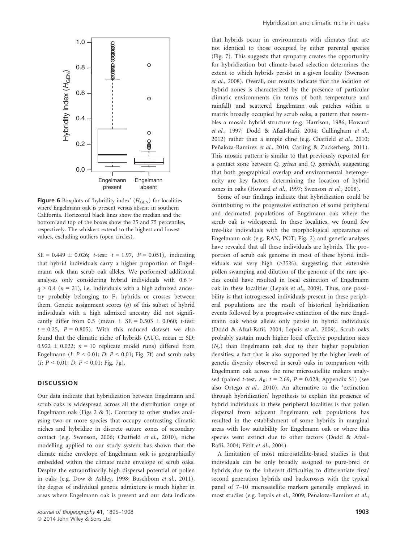

Figure 6 Boxplots of 'hybridity index'  $(H_{\text{GEN}})$  for localities where Engelmann oak is present versus absent in southern California. Horizontal black lines show the median and the bottom and top of the boxes show the 25 and 75 percentiles, respectively. The whiskers extend to the highest and lowest values, excluding outliers (open circles).

 $SE = 0.449 \pm 0.026$ ; t-test:  $t = 1.97$ ,  $P = 0.051$ ), indicating that hybrid individuals carry a higher proportion of Engelmann oak than scrub oak alleles. We performed additional analyses only considering hybrid individuals with 0.6 >  $q > 0.4$  ( $n = 21$ ), i.e. individuals with a high admixed ancestry probably belonging to  $F_1$  hybrids or crosses between them. Genetic assignment scores (q) of this subset of hybrid individuals with a high admixed ancestry did not significantly differ from 0.5 (mean  $\pm$  SE = 0.503  $\pm$  0.060; t-test:  $t = 0.25$ ,  $P = 0.805$ ). With this reduced dataset we also found that the climatic niche of hybrids (AUC, mean  $\pm$  SD: 0.922  $\pm$  0.022; n = 10 replicate model runs) differed from Engelmann (I:  $P < 0.01$ ;  $D: P < 0.01$ ; Fig. 7f) and scrub oaks (*I*:  $P < 0.01$ ; *D*:  $P < 0.01$ ; Fig. 7g).

## **DISCUSSION**

Our data indicate that hybridization between Engelmann and scrub oaks is widespread across all the distribution range of Engelmann oak (Figs 2 & 3). Contrary to other studies analysing two or more species that occupy contrasting climatic niches and hybridize in discrete suture zones of secondary contact (e.g. Swenson, 2006; Chatfield et al., 2010), niche modelling applied to our study system has shown that the climate niche envelope of Engelmann oak is geographically embedded within the climate niche envelope of scrub oaks. Despite the extraordinarily high dispersal potential of pollen in oaks (e.g. Dow & Ashley, 1998; Buschbom et al., 2011), the degree of individual genetic admixture is much higher in areas where Engelmann oak is present and our data indicate

that hybrids occur in environments with climates that are not identical to those occupied by either parental species (Fig. 7). This suggests that sympatry creates the opportunity for hybridization but climate-based selection determines the extent to which hybrids persist in a given locality (Swenson et al., 2008). Overall, our results indicate that the location of hybrid zones is characterized by the presence of particular climatic environments (in terms of both temperature and rainfall) and scattered Engelmann oak patches within a matrix broadly occupied by scrub oaks, a pattern that resembles a mosaic hybrid structure (e.g. Harrison, 1986; Howard et al., 1997; Dodd & Afzal-Rafii, 2004; Cullingham et al., 2012) rather than a simple cline (e.g. Chatfield et al., 2010; Peñaloza-Ramírez et al., 2010; Carling & Zuckerberg, 2011). This mosaic pattern is similar to that previously reported for a contact zone between Q. grisea and Q. gambelii, suggesting that both geographical overlap and environmental heterogeneity are key factors determining the location of hybrid zones in oaks (Howard et al., 1997; Swenson et al., 2008).

Some of our findings indicate that hybridization could be contributing to the progressive extinction of some peripheral and decimated populations of Engelmann oak where the scrub oak is widespread. In these localities, we found few tree-like individuals with the morphological appearance of Engelmann oak (e.g. RAN, POT; Fig. 2) and genetic analyses have revealed that all these individuals are hybrids. The proportion of scrub oak genome in most of these hybrid individuals was very high (>35%), suggesting that extensive pollen swamping and dilution of the genome of the rare species could have resulted in local extinction of Engelmann oak in these localities (Lepais et al., 2009). Thus, one possibility is that introgressed individuals present in these peripheral populations are the result of historical hybridization events followed by a progressive extinction of the rare Engelmann oak whose alleles only persist in hybrid individuals (Dodd & Afzal-Rafii, 2004; Lepais et al., 2009). Scrub oaks probably sustain much higher local effective population sizes  $(N_e)$  than Engelmann oak due to their higher population densities, a fact that is also supported by the higher levels of genetic diversity observed in scrub oaks in comparison with Engelmann oak across the nine microsatellite makers analysed (paired t-test,  $A_R$ :  $t = 2.69$ ,  $P = 0.028$ ; Appendix S1) (see also Ortego et al., 2010). An alternative to the 'extinction through hybridization' hypothesis to explain the presence of hybrid individuals in these peripheral localities is that pollen dispersal from adjacent Engelmann oak populations has resulted in the establishment of some hybrids in marginal areas with low suitability for Engelmann oak or where this species went extinct due to other factors (Dodd & Afzal-Rafii, 2004; Petit et al., 2004).

A limitation of most microsatellite-based studies is that individuals can be only broadly assigned to pure-bred or hybrids due to the inherent difficulties to differentiate first/ second generation hybrids and backcrosses with the typical panel of 7–10 microsatellite markers generally employed in most studies (e.g. Lepais et al., 2009; Peñaloza-Ramírez et al.,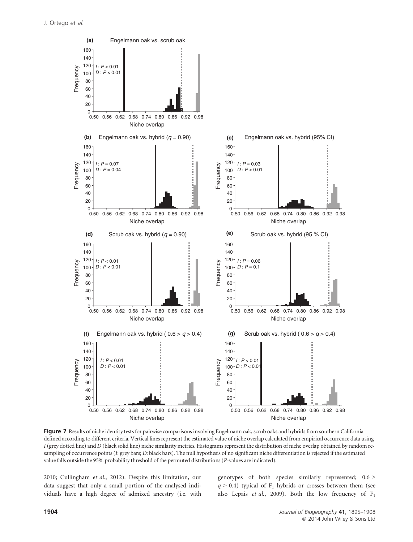

Figure 7 Results of niche identity tests for pairwise comparisons involving Engelmann oak, scrub oaks and hybrids from southern California defined according to different criteria. Vertical lines represent the estimated value of niche overlap calculated from empirical occurrence data using  $I$ (grey dotted line) and  $D$  (black solid line) niche similarity metrics. Histograms represent the distribution of niche overlap obtained by random resampling of occurrence points (I: grey bars; D: black bars). The null hypothesis of no significant niche differentiation is rejected if the estimated value falls outside the 95% probability threshold of the permuted distributions (P-values are indicated).

2010; Cullingham et al., 2012). Despite this limitation, our data suggest that only a small portion of the analysed individuals have a high degree of admixed ancestry (i.e. with genotypes of both species similarly represented; 0.6 >  $q > 0.4$ ) typical of F<sub>1</sub> hybrids or crosses between them (see also Lepais et al., 2009). Both the low frequency of  $F_1$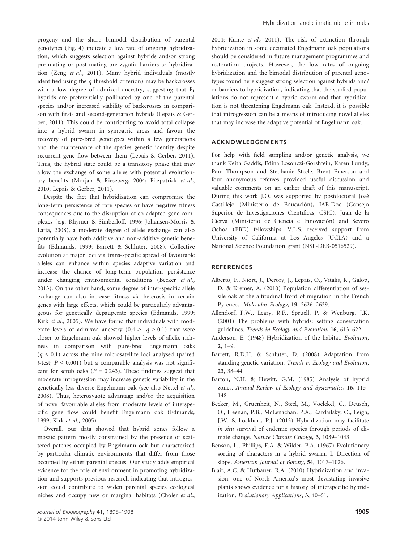progeny and the sharp bimodal distribution of parental genotypes (Fig. 4) indicate a low rate of ongoing hybridization, which suggests selection against hybrids and/or strong pre-mating or post-mating pre-zygotic barriers to hybridization (Zeng et al., 2011). Many hybrid individuals (mostly identified using the  $q$  threshold criterion) may be backcrosses with a low degree of admixed ancestry, suggesting that  $F_1$ hybrids are preferentially pollinated by one of the parental species and/or increased viability of backcrosses in comparison with first- and second-generation hybrids (Lepais & Gerber, 2011). This could be contributing to avoid total collapse into a hybrid swarm in sympatric areas and favour the recovery of pure-bred genotypes within a few generations and the maintenance of the species genetic identity despite recurrent gene flow between them (Lepais & Gerber, 2011). Thus, the hybrid state could be a transitory phase that may allow the exchange of some alleles with potential evolutionary benefits (Morjan & Rieseberg, 2004; Fitzpatrick et al., 2010; Lepais & Gerber, 2011).

Despite the fact that hybridization can compromise the long-term persistence of rare species or have negative fitness consequences due to the disruption of co-adapted gene complexes (e.g. Rhymer & Simberloff, 1996; Johansen-Morris & Latta, 2008), a moderate degree of allele exchange can also potentially have both additive and non-additive genetic benefits (Edmands, 1999; Barrett & Schluter, 2008). Collective evolution at major loci via trans-specific spread of favourable alleles can enhance within species adaptive variation and increase the chance of long-term population persistence under changing environmental conditions (Becker et al., 2013). On the other hand, some degree of inter-specific allele exchange can also increase fitness via heterosis in certain genes with large effects, which could be particularly advantageous for genetically depauperate species (Edmands, 1999; Kirk et al., 2005). We have found that individuals with moderate levels of admixed ancestry  $(0.4 > q > 0.1)$  that were closer to Engelmann oak showed higher levels of allelic richness in comparison with pure-bred Engelmann oaks  $(q < 0.1)$  across the nine microsatellite loci analysed (paired t-test;  $P \le 0.001$ ) but a comparable analysis was not significant for scrub oaks ( $P = 0.243$ ). These findings suggest that moderate introgression may increase genetic variability in the genetically less diverse Engelmann oak (see also Nettel et al., 2008). Thus, heterozygote advantage and/or the acquisition of novel favourable alleles from moderate levels of interspecific gene flow could benefit Engelmann oak (Edmands, 1999; Kirk et al., 2005).

Overall, our data showed that hybrid zones follow a mosaic pattern mostly constrained by the presence of scattered patches occupied by Engelmann oak but characterized by particular climatic environments that differ from those occupied by either parental species. Our study adds empirical evidence for the role of environment in promoting hybridization and supports previous research indicating that introgression could contribute to widen parental species ecological niches and occupy new or marginal habitats (Choler et al.,

2004; Kunte et al., 2011). The risk of extinction through hybridization in some decimated Engelmann oak populations should be considered in future management programmes and restoration projects. However, the low rates of ongoing hybridization and the bimodal distribution of parental genotypes found here suggest strong selection against hybrids and/ or barriers to hybridization, indicating that the studied populations do not represent a hybrid swarm and that hybridization is not threatening Engelmann oak. Instead, it is possible that introgression can be a means of introducing novel alleles that may increase the adaptive potential of Engelmann oak.

# ACKNOWLEDGEMENTS

For help with field sampling and/or genetic analysis, we thank Keith Gaddis, Edina Losonczi-Gorshtein, Karen Lundy, Pam Thompson and Stephanie Steele. Brent Emerson and four anonymous referees provided useful discussion and valuable comments on an earlier draft of this manuscript. During this work J.O. was supported by postdoctoral Jose Castillejo (Ministerio de Educacion), JAE-Doc (Consejo Superior de Investigaciones Científicas, CSIC), Juan de la Cierva (Ministerio de Ciencia e Innovacion) and Severo Ochoa (EBD) fellowships. V.L.S. received support from University of California at Los Angeles (UCLA) and a National Science Foundation grant (NSF-DEB-0516529).

# **REFERENCES**

- Alberto, F., Niort, J., Derory, J., Lepais, O., Vitalis, R., Galop, D. & Kremer, A. (2010) Population differentiation of sessile oak at the altitudinal front of migration in the French Pyrenees. Molecular Ecology, 19, 2626–2639.
- Allendorf, F.W., Leary, R.F., Spruell, P. & Wenburg, J.K. (2001) The problems with hybrids: setting conservation guidelines. Trends in Ecology and Evolution, 16, 613–622.
- Anderson, E. (1948) Hybridization of the habitat. Evolution, 2, 1–9.
- Barrett, R.D.H. & Schluter, D. (2008) Adaptation from standing genetic variation. Trends in Ecology and Evolution, 23, 38–44.
- Barton, N.H. & Hewitt, G.M. (1985) Analysis of hybrid zones. Annual Review of Ecology and Systematics, 16, 113– 148.
- Becker, M., Gruenheit, N., Steel, M., Voelckel, C., Deusch, O., Heenan, P.B., McLenachan, P.A., Kardailsky, O., Leigh, J.W. & Lockhart, P.J. (2013) Hybridization may facilitate in situ survival of endemic species through periods of climate change. Nature Climate Change, 3, 1039–1043.
- Benson, L., Phillips, E.A. & Wilder, P.A. (1967) Evolutionary sorting of characters in a hybrid swarm. I. Direction of slope. American Journal of Botany, 54, 1017–1026.
- Blair, A.C. & Hufbauer, R.A. (2010) Hybridization and invasion: one of North America's most devastating invasive plants shows evidence for a history of interspecific hybridization. Evolutionary Applications, 3, 40–51.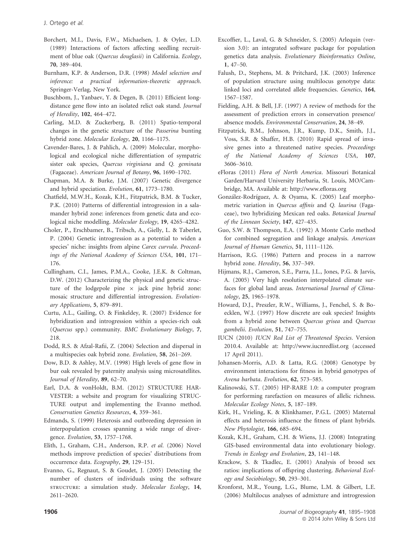- Borchert, M.I., Davis, F.W., Michaelsen, J. & Oyler, L.D. (1989) Interactions of factors affecting seedling recruitment of blue oak (Quercus douglasii) in California. Ecology, 70, 389–404.
- Burnham, K.P. & Anderson, D.R. (1998) Model selection and inference: a practical information-theoretic approach. Springer-Verlag, New York.
- Buschbom, J., Yanbaev, Y. & Degen, B. (2011) Efficient longdistance gene flow into an isolated relict oak stand. Journal of Heredity, 102, 464–472.
- Carling, M.D. & Zuckerberg, B. (2011) Spatio-temporal changes in the genetic structure of the Passerina bunting hybrid zone. Molecular Ecology, 20, 1166–1175.
- Cavender-Bares, J. & Pahlich, A. (2009) Molecular, morphological and ecological niche differentiation of sympatric sister oak species, Quercus virginiana and Q. geminata (Fagaceae). American Journal of Botany, 96, 1690–1702.
- Chapman, M.A. & Burke, J.M. (2007) Genetic divergence and hybrid speciation. Evolution, 61, 1773–1780.
- Chatfield, M.W.H., Kozak, K.H., Fitzpatrick, B.M. & Tucker, P.K. (2010) Patterns of differential introgression in a salamander hybrid zone: inferences from genetic data and ecological niche modelling. Molecular Ecology, 19, 4265–4282.
- Choler, P., Erschbamer, B., Tribsch, A., Gielly, L. & Taberlet, P. (2004) Genetic introgression as a potential to widen a species' niche: insights from alpine Carex curvula. Proceedings of the National Academy of Sciences USA, 101, 171– 176.
- Cullingham, C.I., James, P.M.A., Cooke, J.E.K. & Coltman, D.W. (2012) Characterizing the physical and genetic structure of the lodgepole pine  $\times$  jack pine hybrid zone: mosaic structure and differential introgression. Evolutionary Applications, 5, 879–891.
- Curtu, A.L., Gailing, O. & Finkeldey, R. (2007) Evidence for hybridization and introgression within a species-rich oak (Quercus spp.) community. BMC Evolutionary Biology, 7, 218.
- Dodd, R.S. & Afzal-Rafii, Z. (2004) Selection and dispersal in a multispecies oak hybrid zone. Evolution, 58, 261–269.
- Dow, B.D. & Ashley, M.V. (1998) High levels of gene flow in bur oak revealed by paternity analysis using microsatellites. Journal of Heredity, 89, 62–70.
- Earl, D.A. & vonHoldt, B.M. (2012) STRUCTURE HAR-VESTER: a website and program for visualizing STRUC-TURE output and implementing the Evanno method. Conservation Genetics Resources, 4, 359–361.
- Edmands, S. (1999) Heterosis and outbreeding depression in interpopulation crosses spanning a wide range of divergence. Evolution, 53, 1757–1768.
- Elith, J., Graham, C.H., Anderson, R.P. et al. (2006) Novel methods improve prediction of species' distributions from occurrence data. Ecography, 29, 129–151.
- Evanno, G., Regnaut, S. & Goudet, J. (2005) Detecting the number of clusters of individuals using the software sTRUCTURE: a simulation study. Molecular Ecology, 14, 2611–2620.
- Excoffier, L., Laval, G. & Schneider, S. (2005) Arlequin (version 3.0): an integrated software package for population genetics data analysis. Evolutionary Bioinformatics Online, 1, 47–50.
- Falush, D., Stephens, M. & Pritchard, J.K. (2003) Inference of population structure using multilocus genotype data: linked loci and correlated allele frequencies. Genetics, 164, 1567–1587.
- Fielding, A.H. & Bell, J.F. (1997) A review of methods for the assessment of prediction errors in conservation presence/ absence models. Environmental Conservation, 24, 38–49.
- Fitzpatrick, B.M., Johnson, J.R., Kump, D.K., Smith, J.J., Voss, S.R. & Shaffer, H.B. (2010) Rapid spread of invasive genes into a threatened native species. Proceedings of the National Academy of Sciences USA, 107, 3606–3610.
- eFloras (2011) Flora of North America. Missouri Botanical Garden/Harvard University Herbaria, St. Louis, MO/Cambridge, MA. Available at: http://www.efloras.org
- Gonzalez-Rodrıguez, A. & Oyama, K. (2005) Leaf morphometric variation in Quercus affinis and Q. laurina (Fagaceae), two hybridizing Mexican red oaks. Botanical Journal of the Linnean Society, 147, 427–435.
- Guo, S.W. & Thompson, E.A. (1992) A Monte Carlo method for combined segregation and linkage analysis. American Journal of Human Genetics, 51, 1111–1126.
- Harrison, R.G. (1986) Pattern and process in a narrow hybrid zone. Heredity, 56, 337–349.
- Hijmans, R.J., Cameron, S.E., Parra, J.L., Jones, P.G. & Jarvis, A. (2005) Very high resolution interpolated climate surfaces for global land areas. International Journal of Climatology, 25, 1965–1978.
- Howard, D.J., Preszler, R.W., Williams, J., Fenchel, S. & Boecklen, W.J. (1997) How discrete are oak species? Insights from a hybrid zone between Quercus grisea and Quercus gambelii. Evolution, 51, 747–755.
- IUCN (2010) IUCN Red List of Threatened Species. Version 2010.4. Available at: http://www.iucnredlist.org (accessed 17 April 2011).
- Johansen-Morris, A.D. & Latta, R.G. (2008) Genotype by environment interactions for fitness in hybrid genotypes of Avena barbata. Evolution, 62, 573–585.
- Kalinowski, S.T. (2005) HP-RARE 1.0: a computer program for performing rarefaction on measures of allelic richness. Molecular Ecology Notes, 5, 187–189.
- Kirk, H., Vrieling, K. & Klinkhamer, P.G.L. (2005) Maternal effects and heterosis influence the fitness of plant hybrids. New Phytologist, 166, 685–694.
- Kozak, K.H., Graham, C.H. & Wiens, J.J. (2008) Integrating GIS-based environmental data into evolutionary biology. Trends in Ecology and Evolution, 23, 141–148.
- Krackow, S. & Tkadlec, E. (2001) Analysis of brood sex ratios: implications of offspring clustering. Behavioral Ecology and Sociobiology, 50, 293–301.
- Kronforst, M.R., Young, L.G., Blume, L.M. & Gilbert, L.E. (2006) Multilocus analyses of admixture and introgression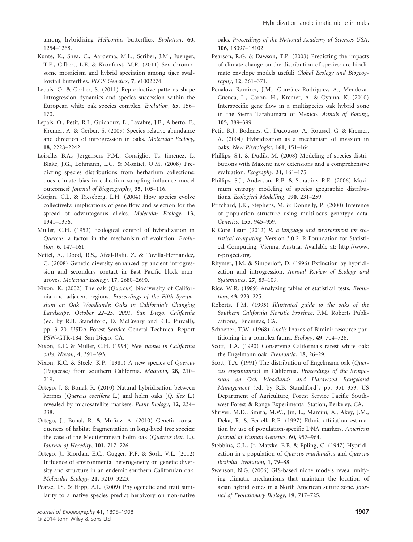among hybridizing Heliconius butterflies. Evolution, 60, 1254–1268.

- Kunte, K., Shea, C., Aardema, M.L., Scriber, J.M., Juenger, T.E., Gilbert, L.E. & Kronforst, M.R. (2011) Sex chromosome mosaicism and hybrid speciation among tiger swallowtail butterflies. PLOS Genetics, 7, e1002274.
- Lepais, O. & Gerber, S. (2011) Reproductive patterns shape introgression dynamics and species succession within the European white oak species complex. Evolution, 65, 156– 170.
- Lepais, O., Petit, R.J., Guichoux, E., Lavabre, J.E., Alberto, F., Kremer, A. & Gerber, S. (2009) Species relative abundance and direction of introgression in oaks. Molecular Ecology, 18, 2228–2242.
- Loiselle, B.A., Jørgensen, P.M., Consiglio, T., Jimenez, I., Blake, J.G., Lohmann, L.G. & Montiel, O.M. (2008) Predicting species distributions from herbarium collections: does climate bias in collection sampling influence model outcomes? Journal of Biogeography, 35, 105–116.
- Morjan, C.L. & Rieseberg, L.H. (2004) How species evolve collectively: implications of gene flow and selection for the spread of advantageous alleles. Molecular Ecology, 13, 1341–1356.
- Muller, C.H. (1952) Ecological control of hybridization in Quercus: a factor in the mechanism of evolution. Evolution, 6, 147–161.
- Nettel, A., Dood, R.S., Afzal-Rafii, Z. & Tovilla-Hernandez, C. (2008) Genetic diversity enhanced by ancient introgression and secondary contact in East Pacific black mangroves. Molecular Ecology, 17, 2680–2690.
- Nixon, K. (2002) The oak (Quercus) biodiversity of California and adjacent regions. Proceedings of the Fifth Symposium on Oak Woodlands: Oaks in California's Changing Landscape, October 22–25, 2001, San Diego, California (ed. by R.B. Standiford, D. McCreary and K.L. Purcell), pp. 3–20. USDA Forest Service General Technical Report PSW-GTR-184, San Diego, CA.
- Nixon, K.C. & Muller, C.H. (1994) New names in California oaks. Novon, 4, 391–393.
- Nixon, K.C. & Steele, K.P. (1981) A new species of Quercus (Fagaceae) from southern California. Madroño, 28, 210– 219.
- Ortego, J. & Bonal, R. (2010) Natural hybridisation between kermes (Quercus coccifera L.) and holm oaks (Q. ilex L.) revealed by microsatellite markers. Plant Biology, 12, 234– 238.
- Ortego, J., Bonal, R. & Muñoz, A. (2010) Genetic consequences of habitat fragmentation in long-lived tree species: the case of the Mediterranean holm oak (Quercus ilex, L.). Journal of Heredity, 101, 717–726.
- Ortego, J., Riordan, E.C., Gugger, P.F. & Sork, V.L. (2012) Influence of environmental heterogeneity on genetic diversity and structure in an endemic southern Californian oak. Molecular Ecology, 21, 3210–3223.
- Pearse, I.S. & Hipp, A.L. (2009) Phylogenetic and trait similarity to a native species predict herbivory on non-native

oaks. Proceedings of the National Academy of Sciences USA, 106, 18097–18102.

- Pearson, R.G. & Dawson, T.P. (2003) Predicting the impacts of climate change on the distribution of species: are bioclimate envelope models useful? Global Ecology and Biogeography, 12, 361–371.
- Peñaloza-Ramírez, J.M., González-Rodríguez, A., Mendoza-Cuenca, L., Caron, H., Kremer, A. & Oyama, K. (2010) Interspecific gene flow in a multispecies oak hybrid zone in the Sierra Tarahumara of Mexico. Annals of Botany, 105, 389–399.
- Petit, R.J., Bodenes, C., Ducousso, A., Roussel, G. & Kremer, A. (2004) Hybridization as a mechanism of invasion in oaks. New Phytologist, 161, 151–164.
- Phillips, S.J. & Dudik, M. (2008) Modeling of species distributions with Maxent: new extensions and a comprehensive evaluation. Ecography, 31, 161–175.
- Phillips, S.J., Anderson, R.P. & Schapire, R.E. (2006) Maximum entropy modeling of species geographic distributions. Ecological Modelling, 190, 231–259.
- Pritchard, J.K., Stephens, M. & Donnelly, P. (2000) Inference of population structure using multilocus genotype data. Genetics, 155, 945–959.
- R Core Team (2012) R: a language and environment for statistical computing. Version 3.0.2. R Foundation for Statistical Computing, Vienna, Austria. Available at: http://www. r-project.org.
- Rhymer, J.M. & Simberloff, D. (1996) Extinction by hybridization and introgression. Annual Review of Ecology and Systematics, 27, 83–109.
- Rice, W.R. (1989) Analyzing tables of statistical tests. Evolution, 43, 223–225.
- Roberts, F.M. (1995) Illustrated guide to the oaks of the Southern California Floristic Province. F.M. Roberts Publications, Encinitas, CA.
- Schoener, T.W. (1968) Anolis lizards of Bimini: resource partitioning in a complex fauna. Ecology, 49, 704–726.
- Scott, T.A. (1990) Conserving California's rarest white oak: the Engelmann oak. Fremontia, 18, 26–29.
- Scott, T.A. (1991) The distribution of Engelmann oak (Quercus engelmannii) in California. Proceedings of the Symposium on Oak Woodlands and Hardwood Rangeland Management (ed. by R.B. Standiford), pp. 351–359. US Department of Agriculture, Forest Service Pacific Southwest Forest & Range Experimental Station, Berkeley, CA.
- Shriver, M.D., Smith, M.W., Jin, L., Marcini, A., Akey, J.M., Deka, R. & Ferrell, R.E. (1997) Ethnic-affiliation estimation by use of population-specific DNA markers. American Journal of Human Genetics, 60, 957–964.
- Stebbins, G.L., Jr, Matzke, E.B. & Epling, C. (1947) Hybridization in a population of Quercus marilandica and Quercus ilicifolia. Evolution, 1, 79–88.
- Swenson, N.G. (2006) GIS-based niche models reveal unifying climatic mechanisms that maintain the location of avian hybrid zones in a North American suture zone. Journal of Evolutionary Biology, 19, 717–725.